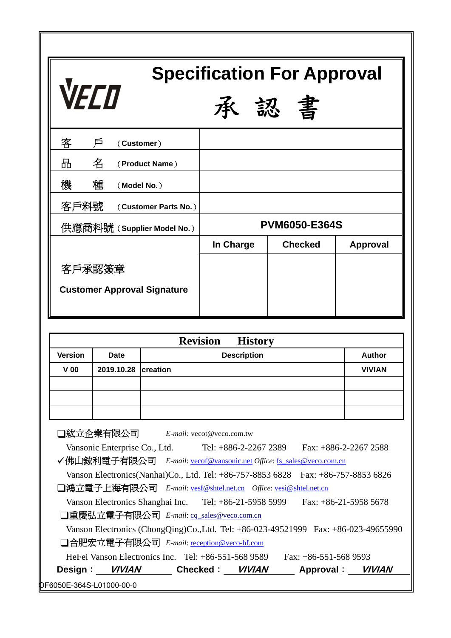| <b>Specification For Approval</b><br><b>VECO</b><br>書<br>圣公 |           |                      |                |                 |  |
|-------------------------------------------------------------|-----------|----------------------|----------------|-----------------|--|
| 客<br>戶<br>(Customer)                                        |           |                      |                |                 |  |
| 땀<br>名<br>(Product Name)                                    |           |                      |                |                 |  |
| 種<br>機<br>(Model No.)                                       |           |                      |                |                 |  |
| 客戶料號<br>(Customer Parts No.)                                |           |                      |                |                 |  |
| 供應商料號 (Supplier Model No.)                                  |           | <b>PVM6050-E364S</b> |                |                 |  |
|                                                             | In Charge |                      | <b>Checked</b> | <b>Approval</b> |  |
| 客戶承認簽章                                                      |           |                      |                |                 |  |
| <b>Customer Approval Signature</b>                          |           |                      |                |                 |  |

| <b>Revision</b><br><b>History</b> |                     |                    |               |  |
|-----------------------------------|---------------------|--------------------|---------------|--|
| <b>Version</b>                    | <b>Date</b>         | <b>Description</b> | <b>Author</b> |  |
| $V$ 00                            | 2019.10.28 creation |                    | <b>VIVIAN</b> |  |
|                                   |                     |                    |               |  |
|                                   |                     |                    |               |  |
|                                   |                     |                    |               |  |

OF6050E-364S-L01000-00-0 紘立企業有限公司 *E-mail:* vecot@veco.com.tw Vansonic Enterprise Co., Ltd. Tel: +886-2-2267 2389 Fax: +886-2-2267 2588 9佛山鋐利電子有限公司 *E-mail*: vecof@vansonic.net *Office*: fs\_sales@veco.com.cn Vanson Electronics(Nanhai)Co., Ltd. Tel: +86-757-8853 6828 Fax: +86-757-8853 6826 鴻立電子上海有限公司 *E-mail*: vesf@shtel.net.cn *Office*: vesi@shtel.net.cn Vanson Electronics Shanghai Inc. Tel: +86-21-5958 5999 Fax: +86-21-5958 5678 □重慶弘立電子有限公司 *E-mail*: cq\_sales@veco.com.cn Vanson Electronics (ChongQing)Co.,Ltd. Tel: +86-023-49521999 Fax: +86-023-49655990 合肥宏立電子有限公司 *E-mail*: reception@veco-hf.com HeFei Vanson Electronics Inc. Tel: +86-551-568 9589 Fax: +86-551-568 9593 **Design**: **VIVIAN****Checked**: **VIVIAN****Approval**: **VIVIAN**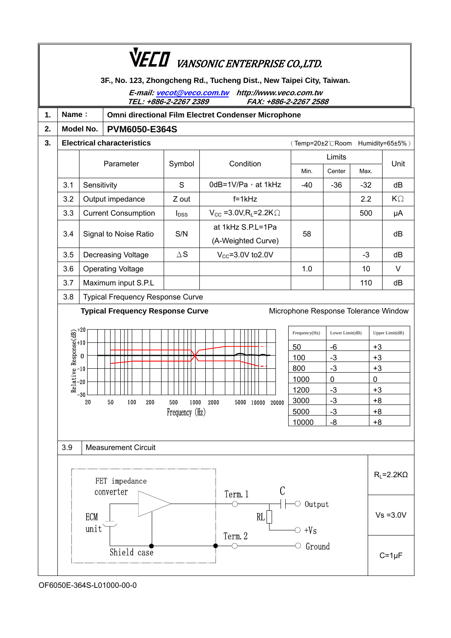|    | <b>VECO</b> VANSONIC ENTERPRISE CO.,LTD.                                                                                                                                    |                                                                                                                           |                                         |                |                                                     |                                      |                     |                     |            |
|----|-----------------------------------------------------------------------------------------------------------------------------------------------------------------------------|---------------------------------------------------------------------------------------------------------------------------|-----------------------------------------|----------------|-----------------------------------------------------|--------------------------------------|---------------------|---------------------|------------|
|    | 3F., No. 123, Zhongcheng Rd., Tucheng Dist., New Taipei City, Taiwan.<br>E-mail: vecot@veco.com.tw http://www.veco.com.tw<br>TEL: +886-2-2267 2389<br>FAX: +886-2-2267 2588 |                                                                                                                           |                                         |                |                                                     |                                      |                     |                     |            |
| 1. | Name:                                                                                                                                                                       |                                                                                                                           |                                         |                | Omni directional Film Electret Condenser Microphone |                                      |                     |                     |            |
| 2. |                                                                                                                                                                             | Model No.                                                                                                                 | <b>PVM6050-E364S</b>                    |                |                                                     |                                      |                     |                     |            |
| 3. |                                                                                                                                                                             |                                                                                                                           | <b>Electrical characteristics</b>       |                |                                                     | (Temp=20±2°CRoom Humidity=65±5%)     |                     |                     |            |
|    |                                                                                                                                                                             |                                                                                                                           |                                         |                |                                                     |                                      | Limits              |                     |            |
|    |                                                                                                                                                                             |                                                                                                                           | Parameter                               | Symbol         | Condition                                           |                                      | Center              | Max.                | Unit       |
|    | 3.1                                                                                                                                                                         | Sensitivity                                                                                                               |                                         | S              | 0dB=1V/Pa, at 1kHz                                  | $-40$                                | $-36$               | $-32$               | dB         |
|    | 3.2                                                                                                                                                                         |                                                                                                                           | Output impedance                        | Z out          | $f=1kHz$                                            |                                      |                     | 2.2                 | $K\Omega$  |
|    | 3.3                                                                                                                                                                         |                                                                                                                           | <b>Current Consumption</b>              | $I_{DSS}$      | $V_{CC}$ =3.0V, R <sub>L</sub> =2.2K $\Omega$       |                                      |                     | 500                 | μA         |
|    | 3.4                                                                                                                                                                         |                                                                                                                           | Signal to Noise Ratio                   | S/N            | at 1kHz S.P.L=1Pa<br>(A-Weighted Curve)             | 58                                   |                     |                     | dB         |
|    | 3.5                                                                                                                                                                         |                                                                                                                           | <b>Decreasing Voltage</b>               | $\Delta$ S     | $V_{CC}$ =3.0V to2.0V                               |                                      |                     | $-3$                | dB         |
|    | 3.6                                                                                                                                                                         |                                                                                                                           | <b>Operating Voltage</b>                |                |                                                     | 1.0                                  |                     | 10                  | V          |
|    | 3.7                                                                                                                                                                         |                                                                                                                           | Maximum input S.P.L                     |                |                                                     |                                      |                     | 110                 | dB         |
|    | 3.8                                                                                                                                                                         |                                                                                                                           | <b>Typical Frequency Response Curve</b> |                |                                                     |                                      |                     |                     |            |
|    |                                                                                                                                                                             |                                                                                                                           | <b>Typical Frequency Response Curve</b> |                |                                                     | Microphone Response Tolerance Window |                     |                     |            |
|    |                                                                                                                                                                             | Relative Response( $\frac{42}{10}$ + 20<br>$\frac{1}{20}$ - 20<br>$\frac{1}{20}$ - 30<br>Frequency(Hz)<br>Lower Limit(dB) |                                         |                | Upper Limit(dB)                                     |                                      |                     |                     |            |
|    |                                                                                                                                                                             |                                                                                                                           |                                         |                |                                                     | 50                                   | -6                  | $+3$                |            |
|    |                                                                                                                                                                             |                                                                                                                           |                                         |                |                                                     | 100                                  | $-3$                | $+3$                |            |
|    |                                                                                                                                                                             |                                                                                                                           |                                         |                |                                                     | 800<br>1000                          | $-3$<br>$\mathbf 0$ | $+3$<br>$\mathbf 0$ |            |
|    |                                                                                                                                                                             |                                                                                                                           |                                         |                |                                                     | 1200                                 | $-3$                | $+3$                |            |
|    |                                                                                                                                                                             | 20                                                                                                                        | ${\bf 50}$<br>100<br>200                | 500<br>1000    | 2000<br>5000 10000 20000                            | 3000                                 | $-3$                | $+8$                |            |
|    |                                                                                                                                                                             |                                                                                                                           |                                         | Frequency (Hz) |                                                     | 5000                                 | -3                  | $+8$                |            |
|    |                                                                                                                                                                             |                                                                                                                           |                                         |                |                                                     | 10000                                | -8                  | $+8$                |            |
|    |                                                                                                                                                                             |                                                                                                                           |                                         |                |                                                     |                                      |                     |                     |            |
|    | 3.9                                                                                                                                                                         |                                                                                                                           | <b>Measurement Circuit</b>              |                |                                                     |                                      |                     |                     |            |
|    | FET impedance<br>C<br>converter                                                                                                                                             |                                                                                                                           |                                         |                |                                                     |                                      | $R_L = 2.2K\Omega$  |                     |            |
|    | Term. 1<br>$\circ$ Output<br><b>ECM</b><br>RL<br>unit<br>$\circ$ +Vs<br>Term. 2                                                                                             |                                                                                                                           |                                         |                |                                                     |                                      | $Vs = 3.0V$         |                     |            |
|    |                                                                                                                                                                             |                                                                                                                           | Shield case                             |                |                                                     | Ground<br>О                          |                     |                     | $C=1\mu F$ |

OF6050E-364S-L01000-00-0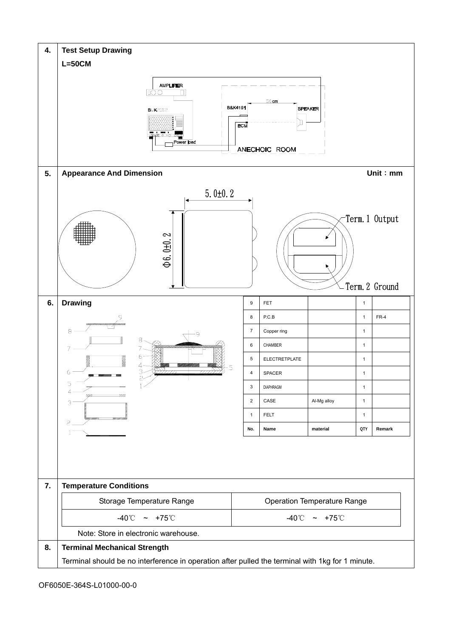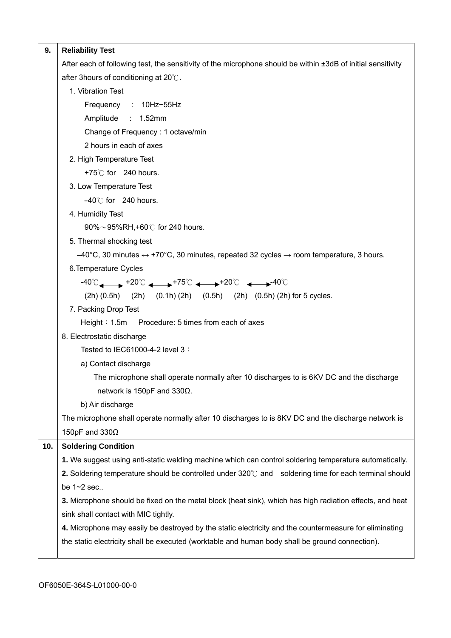| 9.  | <b>Reliability Test</b>                                                                                                      |  |  |  |  |
|-----|------------------------------------------------------------------------------------------------------------------------------|--|--|--|--|
|     | After each of following test, the sensitivity of the microphone should be within ±3dB of initial sensitivity                 |  |  |  |  |
|     | after 3hours of conditioning at 20°C.                                                                                        |  |  |  |  |
|     | 1. Vibration Test                                                                                                            |  |  |  |  |
|     | Frequency : 10Hz~55Hz                                                                                                        |  |  |  |  |
|     | Amplitude : 1.52mm                                                                                                           |  |  |  |  |
|     | Change of Frequency: 1 octave/min                                                                                            |  |  |  |  |
|     | 2 hours in each of axes                                                                                                      |  |  |  |  |
|     | 2. High Temperature Test                                                                                                     |  |  |  |  |
|     | +75 $\degree$ C for 240 hours.                                                                                               |  |  |  |  |
|     | 3. Low Temperature Test                                                                                                      |  |  |  |  |
|     | $-40^{\circ}$ C for 240 hours.                                                                                               |  |  |  |  |
|     | 4. Humidity Test                                                                                                             |  |  |  |  |
|     | 90%~95%RH,+60℃ for 240 hours.                                                                                                |  |  |  |  |
|     | 5. Thermal shocking test                                                                                                     |  |  |  |  |
|     | $-40^{\circ}$ C, 30 minutes $\leftrightarrow$ +70°C, 30 minutes, repeated 32 cycles $\rightarrow$ room temperature, 3 hours. |  |  |  |  |
|     | 6. Temperature Cycles                                                                                                        |  |  |  |  |
|     | $-40^{\circ}$ C $+20^{\circ}$ C $+75^{\circ}$ C $+30^{\circ}$ C $+20^{\circ}$ C $+20^{\circ}$ C                              |  |  |  |  |
|     | (2h) (0.5h) (2h) (0.1h) (2h) (0.5h) (2h) (0.5h) (2h) for 5 cycles.                                                           |  |  |  |  |
|     | 7. Packing Drop Test                                                                                                         |  |  |  |  |
|     | Height: 1.5m Procedure: 5 times from each of axes                                                                            |  |  |  |  |
|     | 8. Electrostatic discharge                                                                                                   |  |  |  |  |
|     | Tested to IEC61000-4-2 level 3 :                                                                                             |  |  |  |  |
|     | a) Contact discharge                                                                                                         |  |  |  |  |
|     | The microphone shall operate normally after 10 discharges to is 6KV DC and the discharge                                     |  |  |  |  |
|     | network is 150pF and 330 $\Omega$ .                                                                                          |  |  |  |  |
|     | b) Air discharge                                                                                                             |  |  |  |  |
|     | The microphone shall operate normally after 10 discharges to is 8KV DC and the discharge network is                          |  |  |  |  |
|     | 150pF and $330\Omega$                                                                                                        |  |  |  |  |
| 10. | <b>Soldering Condition</b>                                                                                                   |  |  |  |  |
|     | 1. We suggest using anti-static welding machine which can control soldering temperature automatically.                       |  |  |  |  |
|     | 2. Soldering temperature should be controlled under $320^{\circ}$ and soldering time for each terminal should                |  |  |  |  |
|     | be 1~2 sec                                                                                                                   |  |  |  |  |
|     | 3. Microphone should be fixed on the metal block (heat sink), which has high radiation effects, and heat                     |  |  |  |  |
|     | sink shall contact with MIC tightly.                                                                                         |  |  |  |  |
|     | 4. Microphone may easily be destroyed by the static electricity and the countermeasure for eliminating                       |  |  |  |  |
|     | the static electricity shall be executed (worktable and human body shall be ground connection).                              |  |  |  |  |
|     |                                                                                                                              |  |  |  |  |